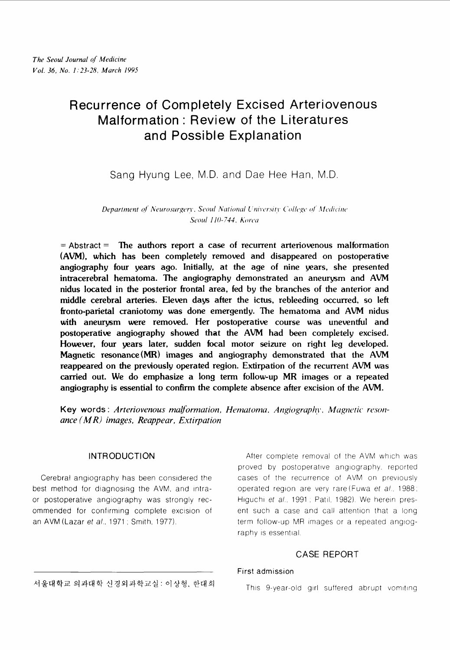# Recurrence of Completely Excised Arteriovenous Malformation : Review of the Literatures and Possible Explanation

Sang Hyung Lee, M.D. and Dae Hee Han, M.D.

*Department of Neurosurgery, Seoul National University College of Medicine Seoul 110-744, Korea* 

= **Abstract** = The authors report a case of recurrent arteriovenous malformation **(AVM),** which has been completely removed and disappeared on postoperative angiography four years ago. Initially, at the age of nine years, she presented intracerebral hematoma. The angiography demonstrated an aneurysm and **AVM**  nidus located in the posterior frontal area, fed by the branches of the anterior and middle cerebral arteries. Eleven days after the ictus, rebleeding occurred, so left fronto-parietal craniotomy was done emergently. The hematoma and **AVM** nidus with aneurysm were removed. Her postoperative course was uneventful and postoperative angiography showed that the **AVM** had been completely excised. However, four years later, sudden focal motor seizure on right leg developed. Magnetic resonance(MR) images and angiography demonstrated that the **AVM**  reappeared on the previously operated region. Extirpation of the recurrent AVM was carried out. We do emphasize a long term follow-up MR images or a repeated angiography is essential to confirm the complete absence after excision of the **AVM.** 

Key words: Arteriovenous malformation, Hematoma, Angiography, Magnetic reson*ance (M R) images, Reappear, Extirpation* 

best method for diagnosing the AVM, and intra- operated region are very rare (Fuwa et al., 1988; or postoperative angiography was strongly rec-<br>Higuchi et al., 1991 : Patil, 1982). We herein presommended for confirming complete excision of ent such a case and call attention that a long an AVM (Lazar et al., 1971; Smith, 1977). The term follow-up MR images or a repeated angiog-

INTRODUCTION After complete removal of the AVM which was proved by postoperative angiography, reported Cerebral angiography has been considered the cases of the recurrence of AVM on previously raphy is essential.

## CASE REPORT

#### First admission

서울대학교 의과대학 신경외과학교실: 이상형, 한대희

This 9-year-old girl suffered abrupt vomiting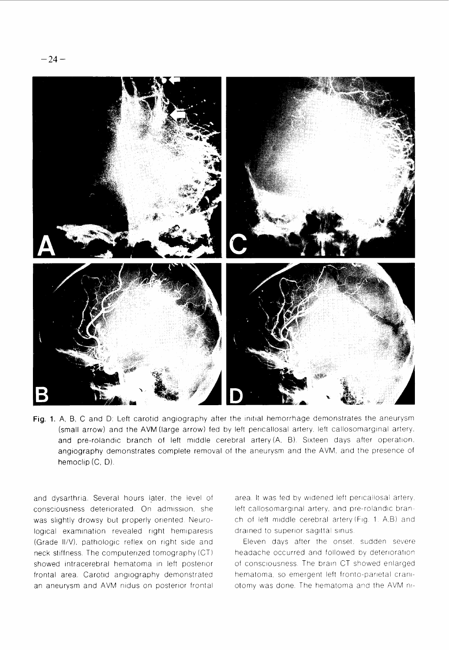

Fig. 1. A, B, C and D: Left carotid angiography after the initial hemorrhage demonstrates the aneurysm (small arrow) and the AVM (large arrow) fed by left pericallosal artery, left callosomarginal artery, and pre-rolandic branch of left middle cerebral artery (A, B). Sixteen days after operation, angiography demonstrates complete removal of the aneurysm and the AVM, and the presence of hemoclip  $(C, D)$ .

and dysarthria. Several hours later, the level of consciousness deteriorated. On admission, she was slightly drowsy but properly oriented. Neurological examination revealed right hemiparesis (Grade II/V), pathologic reflex on right side and neck stiffness. The computerized tomography (CT) showed intracerebral hematoma in left posterior frontal area. Carotid angiography demonstrated an aneurysm and AVM nidus on posterior frontal area. It was fed by widened left pericallosal artery, left callosomarginal artery, and pre-rolandic branch of left middle cerebral artery (Fig. 1. A,B) and drained to superior sagittal sinus.

Eleven days after the onset, sudden severe headache occurred and followed by deteriorationof consciousness. The brain CT showed enlarged hematoma, so emergent left fronto-parietal craniotomy was done. The hematoma and the AVM ni-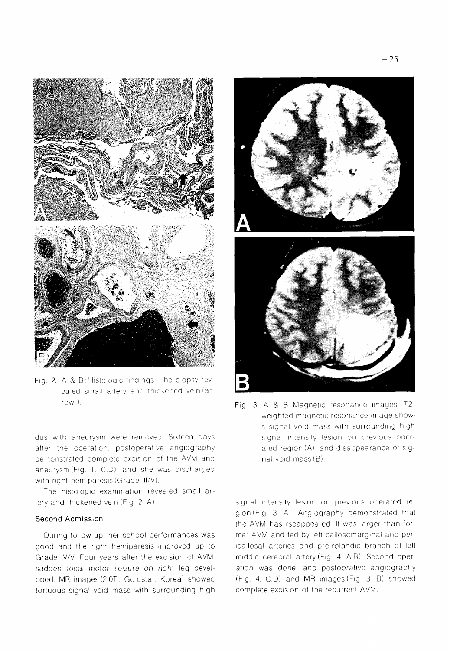



dus with aneurysm were removed. Sixteen days after the operation, postoperative angiography demonstrated complete excision of the AVM and aneurysm (Fig. 1. C.D), and she was discharged with right hemiparesis (Grade III/V).

The histologic examination revealed small artery and thickened vein (Fig. 2. A).

#### Second Admission

During follow-up, her school performances was good and the right hemiparesis improved up to Grade IV/V. Four years after the excision of AVM. sudden focal motor seizure on right leg developed. MR images (2.0T; Goldstar, Korea) showed tortuous signal void mass with surrounding high



Fig. 3. A & B: Magnetic resonance images. T2weighted magnetic resonance image shows signal void mass with surrounding high signal intensity lesion on previous operated region (A), and disappearance of signal void mass (B).

signal intensity lesion on previous operated region(Fig. 3. A). Angiography demonstrated that the AVM has rseappeared. It was larger than former AVM and fed by left callosomarginal and pericallosal arteries and pre-rolandic branch of left middle cerebral artery (Fig. 4. A.B). Second operation was done, and postoprative angiography  $(Fiq. 4 C D)$  and MR images  $(Fiq. 3 B)$  showed complete excision of the recurrent AVM.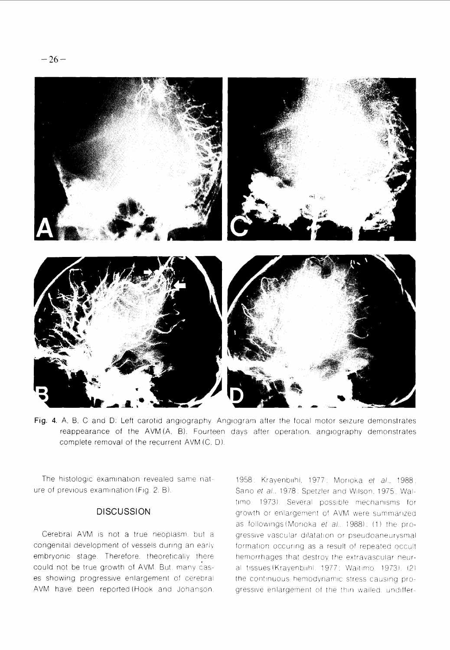

Fig. 4. A, B, C and D: Left carotid angiography. Angiogram after the focal motor seizure demonstrates reappearance of the AVM(A, B). Fourteen days after operation, angiography demonstrates complete removal of the recurrent AVM (C, D).

The histologic examination revealed same nature of previous examination (Fig. 2. B).

### **DISCUSSION**

Cerebral AVM is not a true neoplasm, but a congenital development of vessels during an early embryonic stage. Therefore, theoretically there could not be true growth of AVM. But. many cases showing progressive enlargement of cerebral AVM have been reported (Hook and Johanson.

1958: Krayenbiihi, 1977: Morioka et al., 1988; Sano et al., 1978; Spetzler and Wilson, 1975; Waltimo. 1973). Several possible mechanisms for growth or enlargement of AVM were summarized as followings (Morioka et al., 1988); (1) the progressive vascular dilatation or pseudoaneurysmal formation occuring as a result of repeated occult hemorrhages that destroy the extravascular neural tissues (Krayenbiihl, 1977; Waltimo, 1973), (2) the continuous hemodynamic stress causing progressive enlargement of the thin walled, undiffer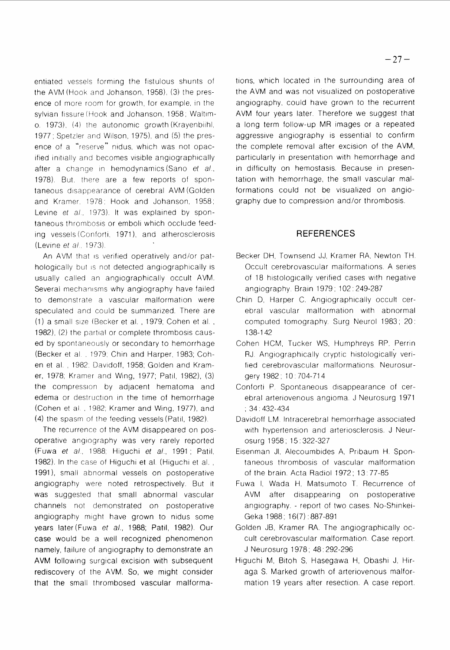entiated vessels forming the fistulous shunts of the AVM (Hook and Johanson, 1958), (3) the presence of more room for growth, for example, in the sylvian fissure (Hook and Johanson, 1958; Waltimo. 1973), (4) the autonomic growth (Krayenbiihl, 1977; Spetzler and Wilson, 1975), and (5) the presence of a "reserve" nidus, which was not opacified initially and becomes visible angiographically after a change in hemodynamics (Sano et al., 1978). But, there are a few reports of spontaneous disappearance of cerebral AVM (Golden and Kramer, 1978; Hook and Johanson, 1958; Levine et al., 1973). It was explained by spontaneous thrombosis or emboli which occlude feeding vessels (Conforti, 1971), and atherosclerosis (Levine et al., 1973).

An AVM that is verified operatively and/or pathologically but is not detected angiographically is usually called an angiographically occult AVM. Several mechanisms why angiography have failed to demonstrate a vascular malformation were speculated and could be summarized. There are (1) a small size (Becker et al., 1979; Cohen et al., 1982), (2) the partial or complete thrombosis caused by spontaneously or secondary to hemorrhage (Becker et al., 1979; Chin and Harper, 1983; Cohen et al., 1982: Davidoff, 1958; Golden and Kramer, 1978; Kramer and Wing, 1977; Patil, 1982), (3) the compression by adjacent hematoma and edema or destruction in the time of hemorrhage (Cohen et al., 1982; Kramer and Wing, 1977), and (4) the spasm of the feeding vessels (Patil, 1982).

The recurrence of the AVM disappeared on posoperative angiography was very rarely reported (Fuwa et al., 1988; Higuchi et al., 1991; Patil, 1982). In the case of Higuchi et al. (Higuchi et al., 1991), small abnormal vessels on postoperative angiography were noted retrospectively. But it was suggested that small abnormal vascular channels not demonstrated on postoperative angiography might have grown to nidus some years later (Fuwa et al., 1988; Patil, 1982). Our case would be a well recognized phenomenon namely, failure of angiography to demonstrate an AVM following surgical excision with subsequent rediscovery of the AVM. So, we might consider that the small thrombosed vascular malformations, which located in the surrounding area of the AVM and was not visualized on postoperative angiography, could have grown to the recurrent AVM four years later. Therefore we suggest that a long term follow-up MR images or a repeated aggressive angiography is essential to confirm the complete removal after excision of the AVM, particularly in presentation with hemorrhage and in difficulty on hemostasis. Because in presentation with hemorrhage, the small vascular malformations could not be visualized on angiography due to compression and/or thrombosis.

### **REFERENCES**

- Becker DH, Townsend JJ, Kramer RA, Newton TH. Occult cerebrovascular malformations. A series of 18 histologically verified cases with negative angiography. Brain 1979; 102: 249-287
- Chin D, Harper C. Angiographically occult cerebral vascular malformation with abnormal computed tomography. Surg Neurol 1983; 20: 138-142
- Cohen HCM, Tucker WS, Humphreys RP, Perrin RJ. Angiographically cryptic histologically verified cerebrovascular malformations. Neurosurgery 1982; 10:704-714
- Conforti P. Spontaneous disappearance of cerebral arteriovenous angioma. J Neurosurg 1971  $: 34:432-434$
- Davidoff LM. Intracerebral hemorrhage associated with hypertension and arteriosclerosis. J Neurosurg 1958; 15:322-327
- Eisenman Jl, Alecoumbides A, Pribaum H. Spontaneous thrombosis of vascular malformation of the brain. Acta Radiol 1972; 13:77-85
- Fuwa I, Wada H, Matsumoto T. Recurrence of AVM after disappearing on postoperative angiography. - report of two cases. No-Shinkei-Geka 1988; 16(7): 887-891
- Golden JB, Kramer RA. The angiographically occult cerebrovascular malformation. Case report. J Neurosurg 1978; 48:292-296
- Higuchi M, Bitoh S, Hasegawa H, Obashi J, Hiraga S. Marked growth of arteriovenous malformation 19 years after resection. A case report.